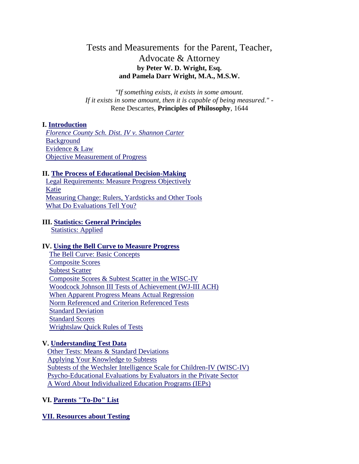# Tests and Measurements for the Parent, Teacher, Advocate & Attorney **by Peter W. D. Wright, Esq. and Pamela Darr Wright, M.A., M.S.W.**

*"If something exists, it exists in some amount. If it exists in some amount, then it is capable of being measured."* - Rene Descartes, **Principles of Philosophy**, 1644

## **I. [Introduction](http://www.wrightslaw.com/#1#1)**

 *[Florence County Sch. Dist. IV v. Shannon Carter](http://www.wrightslaw.com/#2#2)* **[Background](http://www.wrightslaw.com/#3#3)**  [Evidence & Law](http://www.wrightslaw.com/#4#4) [Objective Measurement of Progress](http://www.wrightslaw.com/#5#5)

#### **II. [The Process of Educational Decision-Making](http://www.wrightslaw.com/#6#6)**

 [Legal Requirements: Measure Progress Objectively](http://www.wrightslaw.com/#5#5) [Katie](http://www.wrightslaw.com/#7#7) [Measuring Change: Rulers, Yardsticks and Other Tools](http://www.wrightslaw.com/#8#8) [What Do Evaluations Tell You?](http://www.wrightslaw.com/#9#9)

#### **III. [Statistics: General Principles](http://www.wrightslaw.com/#10#10)**

[Statistics: Applied](http://www.wrightslaw.com/#11#11)

#### **IV. [Using the Bell Curve to Measure Progress](http://www.wrightslaw.com/#12#12)**

 [The Bell Curve: Basic Concepts](http://www.wrightslaw.com/#13#13) [Composite Scores](http://www.wrightslaw.com/#14#14) [Subtest Scatter](http://www.wrightslaw.com/#15#15) [Composite Scores & Subtest Scatter in](http://www.wrightslaw.com/#16#16) the WISC-IV [Woodcock Johnson III Tests of Achievement \(WJ-III ACH\)](http://www.wrightslaw.com/#17#17) [When Apparent Progress Means Actual Regression](http://www.wrightslaw.com/#progress#progress) [Norm Referenced and Criterion Referenced Tests](http://www.wrightslaw.com/#18#18) [Standard Deviation](http://www.wrightslaw.com/#19#19) [Standard Scores](http://www.wrightslaw.com/#20#20) [Wrightslaw Quick Rules of Tests](http://www.wrightslaw.com/#21#21)

#### **V. [Understanding Test Data](http://www.wrightslaw.com/#22#22)**

 [Other Tests: Means & Standard Deviations](http://www.wrightslaw.com/#22#22) [Applying Your Knowledge to Subtests](http://www.wrightslaw.com/#23#23) [Subtests of the Wechsler Intelligence Scale for Children-IV \(WISC-IV\)](http://www.wrightslaw.com/#24#24) [Psycho-Educational Evaluations by Evaluators in the Private Sector](http://www.wrightslaw.com/#25#25) [A Word About Individualized Education Programs \(IEPs\)](http://www.wrightslaw.com/#26#26)

## **VI. [Parents "To-Do" List](http://www.wrightslaw.com/#27#27)**

**[VII. Resources about Testing](http://www.wrightslaw.com/#28#28)**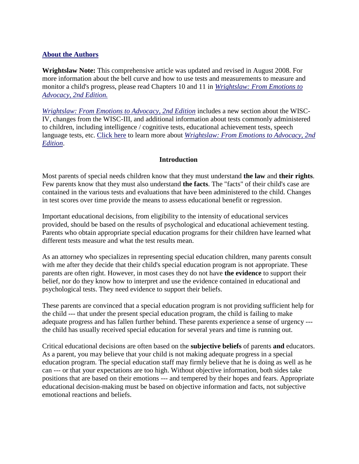# **[About the Authors](http://www.wrightslaw.com/#29#29)**

**Wrightslaw Note:** This comprehensive article was updated and revised in August 2008. For more information about the bell curve and how to use tests and measurements to measure and monitor a child's progress, please read Chapters 10 and 11 in *[Wrightslaw: From Emotions to](http://www.wrightslaw.com/bks/feta2/feta2.htm)  [Advocacy, 2nd Edition.](http://www.wrightslaw.com/bks/feta2/feta2.htm)*

*[Wrightslaw: From Emotions to Advocacy, 2nd Edition](http://www.wrightslaw.com/bks/feta2/feta2.htm)* includes a new section about the WISC-IV, changes from the WISC-III, and additional information about tests commonly administered to children, including intelligence / cognitive tests, educational achievement tests, speech language tests, etc. [Click here](http://www.wrightslaw.com/bks/feta2/feta2.htm) to learn more about *[Wrightslaw: From Emotions to Advocacy, 2nd](http://www.wrightslaw.com/bks/feta2/feta2.htm)  [Edition](http://www.wrightslaw.com/bks/feta2/feta2.htm)*.

# **Introduction**

Most parents of special needs children know that they must understand **the law** and **their rights**. Few parents know that they must also understand **the facts**. The "facts" of their child's case are contained in the various tests and evaluations that have been administered to the child. Changes in test scores over time provide the means to assess educational benefit or regression.

Important educational decisions, from eligibility to the intensity of educational services provided, should be based on the results of psychological and educational achievement testing. Parents who obtain appropriate special education programs for their children have learned what different tests measure and what the test results mean.

As an attorney who specializes in representing special education children, many parents consult with me after they decide that their child's special education program is not appropriate. These parents are often right. However, in most cases they do not have **the evidence** to support their belief, nor do they know how to interpret and use the evidence contained in educational and psychological tests. They need evidence to support their beliefs.

These parents are convinced that a special education program is not providing sufficient help for the child --- that under the present special education program, the child is failing to make adequate progress and has fallen further behind. These parents experience a sense of urgency -- the child has usually received special education for several years and time is running out.

Critical educational decisions are often based on the **subjective beliefs** of parents **and** educators. As a parent, you may believe that your child is not making adequate progress in a special education program. The special education staff may firmly believe that he is doing as well as he can --- or that your expectations are too high. Without objective information, both sides take positions that are based on their emotions --- and tempered by their hopes and fears. Appropriate educational decision-making must be based on objective information and facts, not subjective emotional reactions and beliefs.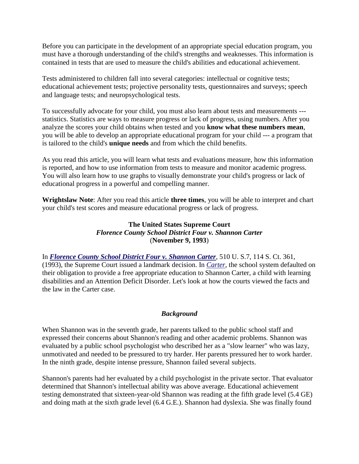Before you can participate in the development of an appropriate special education program, you must have a thorough understanding of the child's strengths and weaknesses. This information is contained in tests that are used to measure the child's abilities and educational achievement.

Tests administered to children fall into several categories: intellectual or cognitive tests; educational achievement tests; projective personality tests, questionnaires and surveys; speech and language tests; and neuropsychological tests.

To successfully advocate for your child, you must also learn about tests and measurements -- statistics. Statistics are ways to measure progress or lack of progress, using numbers. After you analyze the scores your child obtains when tested and you **know what these numbers mean**, you will be able to develop an appropriate educational program for your child --- a program that is tailored to the child's **unique needs** and from which the child benefits.

As you read this article, you will learn what tests and evaluations measure, how this information is reported, and how to use information from tests to measure and monitor academic progress. You will also learn how to use graphs to visually demonstrate your child's progress or lack of educational progress in a powerful and compelling manner.

**Wrightslaw Note**: After you read this article **three times**, you will be able to interpret and chart your child's test scores and measure educational progress or lack of progress.

# **The United States Supreme Court** *Florence County School District Four v. Shannon Carter* (**November 9, 1993**)

In *[Florence County School District Four v. Shannon Carter](http://www.wrightslaw.com/law/caselaw/ussupct.carter.htm)*, 510 U. S.7, 114 S. Ct. 361, (1993), the Supreme Court issued a landmark decision. In *[Carter](http://www.wrightslaw.com/law/caselaw/ussupct.carter.htm)*, the school system defaulted on their obligation to provide a free appropriate education to Shannon Carter, a child with learning disabilities and an Attention Deficit Disorder. Let's look at how the courts viewed the facts and the law in the Carter case.

# *Background*

When Shannon was in the seventh grade, her parents talked to the public school staff and expressed their concerns about Shannon's reading and other academic problems. Shannon was evaluated by a public school psychologist who described her as a "slow learner" who was lazy, unmotivated and needed to be pressured to try harder. Her parents pressured her to work harder. In the ninth grade, despite intense pressure, Shannon failed several subjects.

Shannon's parents had her evaluated by a child psychologist in the private sector. That evaluator determined that Shannon's intellectual ability was above average. Educational achievement testing demonstrated that sixteen-year-old Shannon was reading at the fifth grade level (5.4 GE) and doing math at the sixth grade level (6.4 G.E.). Shannon had dyslexia. She was finally found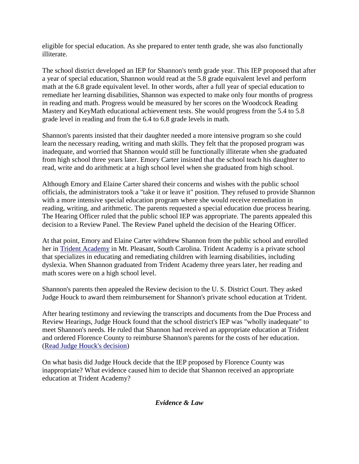eligible for special education. As she prepared to enter tenth grade, she was also functionally illiterate.

The school district developed an IEP for Shannon's tenth grade year. This IEP proposed that after a year of special education, Shannon would read at the 5.8 grade equivalent level and perform math at the 6.8 grade equivalent level. In other words, after a full year of special education to remediate her learning disabilities, Shannon was expected to make only four months of progress in reading and math. Progress would be measured by her scores on the Woodcock Reading Mastery and KeyMath educational achievement tests. She would progress from the 5.4 to 5.8 grade level in reading and from the 6.4 to 6.8 grade levels in math.

Shannon's parents insisted that their daughter needed a more intensive program so she could learn the necessary reading, writing and math skills. They felt that the proposed program was inadequate, and worried that Shannon would still be functionally illiterate when she graduated from high school three years later. Emory Carter insisted that the school teach his daughter to read, write and do arithmetic at a high school level when she graduated from high school.

Although Emory and Elaine Carter shared their concerns and wishes with the public school officials, the administrators took a "take it or leave it" position. They refused to provide Shannon with a more intensive special education program where she would receive remediation in reading, writing, and arithmetic. The parents requested a special education due process hearing. The Hearing Officer ruled that the public school IEP was appropriate. The parents appealed this decision to a Review Panel. The Review Panel upheld the decision of the Hearing Officer.

At that point, Emory and Elaine Carter withdrew Shannon from the public school and enrolled her in [Trident Academy](http://www.tridentacademy.com/) in Mt. Pleasant, South Carolina. Trident Academy is a private school that specializes in educating and remediating children with learning disabilities, including dyslexia. When Shannon graduated from Trident Academy three years later, her reading and math scores were on a high school level.

Shannon's parents then appealed the Review decision to the U. S. District Court. They asked Judge Houck to award them reimbursement for Shannon's private school education at Trident.

After hearing testimony and reviewing the transcripts and documents from the Due Process and Review Hearings, Judge Houck found that the school district's IEP was "wholly inadequate" to meet Shannon's needs. He ruled that Shannon had received an appropriate education at Trident and ordered Florence County to reimburse Shannon's parents for the costs of her education. [\(Read Judge Houck's decision\)](http://www.wrightslaw.com/law/caselaw/case_carter_usdist_sc.htm)

On what basis did Judge Houck decide that the IEP proposed by Florence County was inappropriate? What evidence caused him to decide that Shannon received an appropriate education at Trident Academy?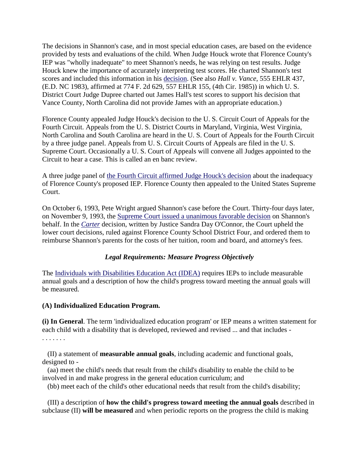The decisions in Shannon's case, and in most special education cases, are based on the evidence provided by tests and evaluations of the child. When Judge Houck wrote that Florence County's IEP was "wholly inadequate" to meet Shannon's needs, he was relying on test results. Judge Houck knew the importance of accurately interpreting test scores. He charted Shannon's test scores and included this information in his [decision.](http://www.wrightslaw.com/law/caselaw/case_carter_usdist_sc.htm) (See also *Hall v. Vance*, 555 EHLR 437, (E.D. NC 1983), affirmed at 774 F. 2d 629, 557 EHLR 155, (4th Cir. 1985)) in which U. S. District Court Judge Dupree charted out James Hall's test scores to support his decision that Vance County, North Carolina did not provide James with an appropriate education.)

Florence County appealed Judge Houck's decision to the U. S. Circuit Court of Appeals for the Fourth Circuit. Appeals from the U. S. District Courts in Maryland, Virginia, West Virginia, North Carolina and South Carolina are heard in the U. S. Court of Appeals for the Fourth Circuit by a three judge panel. Appeals from U. S. Circuit Courts of Appeals are filed in the U. S. Supreme Court. Occasionally a U. S. Court of Appeals will convene all Judges appointed to the Circuit to hear a case. This is called an en banc review.

A three judge panel of [the Fourth Circuit affirmed Judge Houck's decision](http://www.wrightslaw.com/law/caselaw/case_carter_4cir.htm) about the inadequacy of Florence County's proposed IEP. Florence County then appealed to the United States Supreme Court.

On October 6, 1993, Pete Wright argued Shannon's case before the Court. Thirty-four days later, on November 9, 1993, the [Supreme Court issued a unanimous favorable decision](http://www.wrightslaw.com/law/caselaw/ussupct.carter.htm) on Shannon's behalf. In the *[Carter](http://www.wrightslaw.com/law/caselaw/ussupct.carter.htm)* decision, written by Justice Sandra Day O'Connor, the Court upheld the lower court decisions, ruled against Florence County School District Four, and ordered them to reimburse Shannon's parents for the costs of her tuition, room and board, and attorney's fees.

## *Legal Requirements: Measure Progress Objectively*

The [Individuals with Disabilities Education Act \(IDEA\)](http://www.wrightslaw.com/idea/index.htm) requires IEPs to include measurable annual goals and a description of how the child's progress toward meeting the annual goals will be measured.

## **(A) Individualized Education Program.**

**(i) In General**. The term 'individualized education program' or IEP means a written statement for each child with a disability that is developed, reviewed and revised ... and that includes - . . . . . . .

 (II) a statement of **measurable annual goals**, including academic and functional goals, designed to -

 (aa) meet the child's needs that result from the child's disability to enable the child to be involved in and make progress in the general education curriculum; and

(bb) meet each of the child's other educational needs that result from the child's disability;

 (III) a description of **how the child's progress toward meeting the annual goals** described in subclause (II) **will be measured** and when periodic reports on the progress the child is making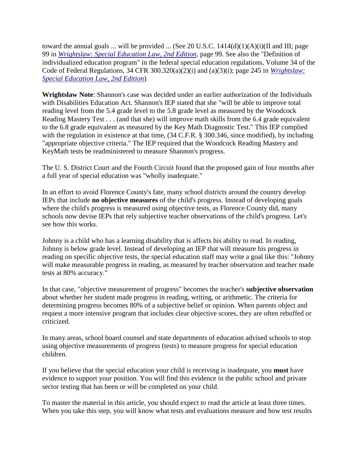toward the annual goals ... will be provided ... (See 20 U.S.C.  $1414(d)(1)(A)(i)(II)$  and III; page 99 in *[Wrightslaw: Special Education Law, 2nd Edition](http://www.wrightslaw.com/bks/selaw2/selaw2.htm)*, page 99. See also the "Definition of individualized education program" in the federal special education regulations, Volume 34 of the Code of Federal Regulations, 34 CFR 300.320(a)(2)(i) and (a)(3)(i); page 245 in *[Wrightslaw:](http://www.wrightslaw.com/bks/selaw2/selaw2.htm)  [Special Education Law, 2nd Edition](http://www.wrightslaw.com/bks/selaw2/selaw2.htm)*)

**Wrightslaw Note**: Shannon's case was decided under an earlier authorization of the Individuals with Disabilities Education Act. Shannon's IEP stated that she "will be able to improve total reading level from the 5.4 grade level to the 5.8 grade level as measured by the Woodcock Reading Mastery Test . . . (and that she) will improve math skills from the 6.4 grade equivalent to the 6.8 grade equivalent as measured by the Key Math Diagnostic Test." This IEP complied with the regulation in existence at that time,  $(34 \text{ C.F.R.} \$ § 300.346, since modified), by including "appropriate objective criteria." The IEP required that the Woodcock Reading Mastery and KeyMath tests be readministered to measure Shannon's progress.

The U. S. District Court and the Fourth Circuit found that the proposed gain of four months after a full year of special education was "wholly inadequate."

In an effort to avoid Florence County's fate, many school districts around the country develop IEPs that include **no objective measures** of the child's progress. Instead of developing goals where the child's progress is measured using objective tests, as Florence County did, many schools now devise IEPs that rely subjective teacher observations of the child's progress. Let's see how this works.

Johnny is a child who has a learning disability that is affects his ability to read. In reading, Johnny is below grade level. Instead of developing an IEP that will measure his progress in reading on specific objective tests, the special education staff may write a goal like this: "Johnny will make measurable progress in reading, as measured by teacher observation and teacher made tests at 80% accuracy."

In that case, "objective measurement of progress" becomes the teacher's **subjective observation** about whether her student made progress in reading, writing, or arithmetic. The criteria for determining progress becomes 80% of a subjective belief or opinion. When parents object and request a more intensive program that includes clear objective scores, they are often rebuffed or criticized.

In many areas, school board counsel and state departments of education advised schools to stop using objective measurements of progress (tests) to measure progress for special education children.

If you believe that the special education your child is receiving is inadequate, you **must** have evidence to support your position. You will find this evidence in the public school and private sector testing that has been or will be completed on your child.

To master the material in this article, you should expect to read the article at least three times. When you take this step, you will know what tests and evaluations measure and how test results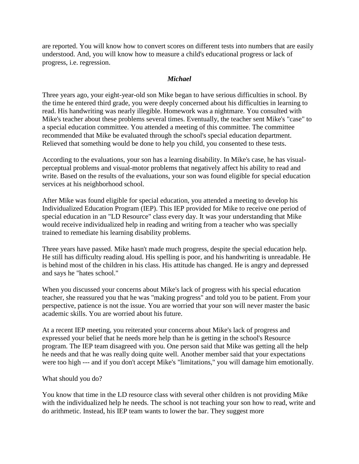are reported. You will know how to convert scores on different tests into numbers that are easily understood. And, you will know how to measure a child's educational progress or lack of progress, i.e. regression.

## *Michael*

Three years ago, your eight-year-old son Mike began to have serious difficulties in school. By the time he entered third grade, you were deeply concerned about his difficulties in learning to read. His handwriting was nearly illegible. Homework was a nightmare. You consulted with Mike's teacher about these problems several times. Eventually, the teacher sent Mike's "case" to a special education committee. You attended a meeting of this committee. The committee recommended that Mike be evaluated through the school's special education department. Relieved that something would be done to help you child, you consented to these tests.

According to the evaluations, your son has a learning disability. In Mike's case, he has visualperceptual problems and visual-motor problems that negatively affect his ability to read and write. Based on the results of the evaluations, your son was found eligible for special education services at his neighborhood school.

After Mike was found eligible for special education, you attended a meeting to develop his Individualized Education Program (IEP). This IEP provided for Mike to receive one period of special education in an "LD Resource" class every day. It was your understanding that Mike would receive individualized help in reading and writing from a teacher who was specially trained to remediate his learning disability problems.

Three years have passed. Mike hasn't made much progress, despite the special education help. He still has difficulty reading aloud. His spelling is poor, and his handwriting is unreadable. He is behind most of the children in his class. His attitude has changed. He is angry and depressed and says he "hates school."

When you discussed your concerns about Mike's lack of progress with his special education teacher, she reassured you that he was "making progress" and told you to be patient. From your perspective, patience is not the issue. You are worried that your son will never master the basic academic skills. You are worried about his future.

At a recent IEP meeting, you reiterated your concerns about Mike's lack of progress and expressed your belief that he needs more help than he is getting in the school's Resource program. The IEP team disagreed with you. One person said that Mike was getting all the help he needs and that he was really doing quite well. Another member said that your expectations were too high --- and if you don't accept Mike's "limitations," you will damage him emotionally.

## What should you do?

You know that time in the LD resource class with several other children is not providing Mike with the individualized help he needs. The school is not teaching your son how to read, write and do arithmetic. Instead, his IEP team wants to lower the bar. They suggest more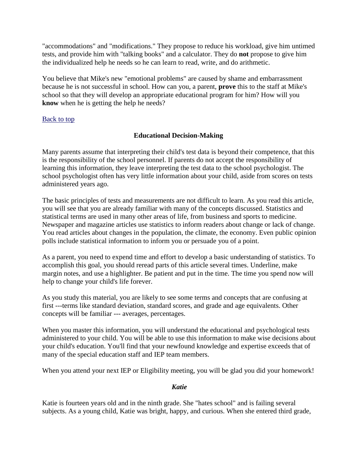"accommodations" and "modifications." They propose to reduce his workload, give him untimed tests, and provide him with "talking books" and a calculator. They do **not** propose to give him the individualized help he needs so he can learn to read, write, and do arithmetic.

You believe that Mike's new "emotional problems" are caused by shame and embarrassment because he is not successful in school. How can you, a parent, **prove** this to the staff at Mike's school so that they will develop an appropriate educational program for him? How will you **know** when he is getting the help he needs?

## [Back to top](http://www.wrightslaw.com/#Top#Top)

# **Educational Decision-Making**

Many parents assume that interpreting their child's test data is beyond their competence, that this is the responsibility of the school personnel. If parents do not accept the responsibility of learning this information, they leave interpreting the test data to the school psychologist. The school psychologist often has very little information about your child, aside from scores on tests administered years ago.

The basic principles of tests and measurements are not difficult to learn. As you read this article, you will see that you are already familiar with many of the concepts discussed. Statistics and statistical terms are used in many other areas of life, from business and sports to medicine. Newspaper and magazine articles use statistics to inform readers about change or lack of change. You read articles about changes in the population, the climate, the economy. Even public opinion polls include statistical information to inform you or persuade you of a point.

As a parent, you need to expend time and effort to develop a basic understanding of statistics. To accomplish this goal, you should reread parts of this article several times. Underline, make margin notes, and use a highlighter. Be patient and put in the time. The time you spend now will help to change your child's life forever.

As you study this material, you are likely to see some terms and concepts that are confusing at first ---terms like standard deviation, standard scores, and grade and age equivalents. Other concepts will be familiar --- averages, percentages.

When you master this information, you will understand the educational and psychological tests administered to your child. You will be able to use this information to make wise decisions about your child's education. You'll find that your newfound knowledge and expertise exceeds that of many of the special education staff and IEP team members.

When you attend your next IEP or Eligibility meeting, you will be glad you did your homework!

#### *Katie*

Katie is fourteen years old and in the ninth grade. She "hates school" and is failing several subjects. As a young child, Katie was bright, happy, and curious. When she entered third grade,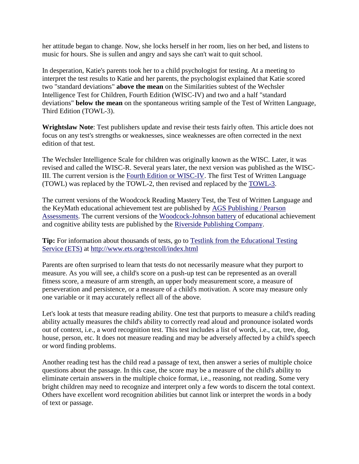her attitude began to change. Now, she locks herself in her room, lies on her bed, and listens to music for hours. She is sullen and angry and says she can't wait to quit school.

In desperation, Katie's parents took her to a child psychologist for testing. At a meeting to interpret the test results to Katie and her parents, the psychologist explained that Katie scored two "standard deviations" **above the mean** on the Similarities subtest of the Wechsler Intelligence Test for Children, Fourth Edition (WISC-IV) and two and a half "standard deviations" **below the mean** on the spontaneous writing sample of the Test of Written Language, Third Edition (TOWL-3).

**Wrightslaw Note**: Test publishers update and revise their tests fairly often. This article does not focus on any test's strengths or weaknesses, since weaknesses are often corrected in the next edition of that test.

The Wechsler Intelligence Scale for children was originally known as the WISC. Later, it was revised and called the WISC-R. Several years later, the next version was published as the WISC-III. The current version is the [Fourth Edition or WISC-IV.](http://harcourtassessment.com/haiweb/cultures/en-us/productdetail.htm?pid=015-8979-044) The first Test of Written Language (TOWL) was replaced by the TOWL-2, then revised and replaced by the [TOWL-3.](http://www3.parinc.com/products/product.aspx?Productid=TOWL-3)

The current versions of the Woodcock Reading Mastery Test, the Test of Written Language and the KeyMath educational achievement test are published by [AGS Publishing / Pearson](http://ags.pearsonassessments.com/)  [Assessments.](http://ags.pearsonassessments.com/) The current versions of the [Woodcock-Johnson battery](http://www.riverpub.com/products/index.html) of educational achievement and cognitive ability tests are published by the [Riverside Publishing Company.](http://www.riverpub.com/)

**Tip:** For information about thousands of tests, go to [Testlink from the Educational Testing](http://www.ets.org/testcoll/index.html)  [Service \(ETS\)](http://www.ets.org/testcoll/index.html) at<http://www.ets.org/testcoll/index.html>

Parents are often surprised to learn that tests do not necessarily measure what they purport to measure. As you will see, a child's score on a push-up test can be represented as an overall fitness score, a measure of arm strength, an upper body measurement score, a measure of perseveration and persistence, or a measure of a child's motivation. A score may measure only one variable or it may accurately reflect all of the above.

Let's look at tests that measure reading ability. One test that purports to measure a child's reading ability actually measures the child's ability to correctly read aloud and pronounce isolated words out of context, i.e., a word recognition test. This test includes a list of words, i.e., cat, tree, dog, house, person, etc. It does not measure reading and may be adversely affected by a child's speech or word finding problems.

Another reading test has the child read a passage of text, then answer a series of multiple choice questions about the passage. In this case, the score may be a measure of the child's ability to eliminate certain answers in the multiple choice format, i.e., reasoning, not reading. Some very bright children may need to recognize and interpret only a few words to discern the total context. Others have excellent word recognition abilities but cannot link or interpret the words in a body of text or passage.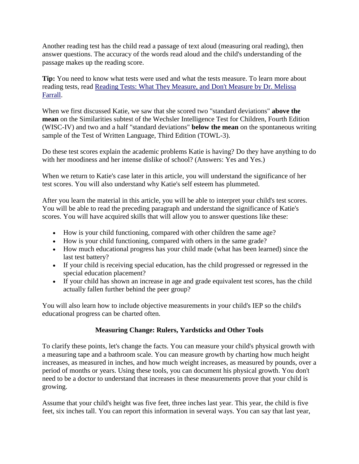Another reading test has the child read a passage of text aloud (measuring oral reading), then answer questions. The accuracy of the words read aloud and the child's understanding of the passage makes up the reading score.

**Tip:** You need to know what tests were used and what the tests measure. To learn more about reading tests, read [Reading Tests: What They Measure, and Don't Measure by Dr. Melissa](http://www.wrightslaw.com/info/test.read.farrall.htm)  [Farrall.](http://www.wrightslaw.com/info/test.read.farrall.htm)

When we first discussed Katie, we saw that she scored two "standard deviations" **above the mean** on the Similarities subtest of the Wechsler Intelligence Test for Children, Fourth Edition (WISC-IV) and two and a half "standard deviations" **below the mean** on the spontaneous writing sample of the Test of Written Language, Third Edition (TOWL-3).

Do these test scores explain the academic problems Katie is having? Do they have anything to do with her moodiness and her intense dislike of school? (Answers: Yes and Yes.)

When we return to Katie's case later in this article, you will understand the significance of her test scores. You will also understand why Katie's self esteem has plummeted.

After you learn the material in this article, you will be able to interpret your child's test scores. You will be able to read the preceding paragraph and understand the significance of Katie's scores. You will have acquired skills that will allow you to answer questions like these:

- How is your child functioning, compared with other children the same age?
- How is your child functioning, compared with others in the same grade?
- How much educational progress has your child made (what has been learned) since the last test battery?
- If your child is receiving special education, has the child progressed or regressed in the special education placement?
- If your child has shown an increase in age and grade equivalent test scores, has the child actually fallen further behind the peer group?

You will also learn how to include objective measurements in your child's IEP so the child's educational progress can be charted often.

# **Measuring Change: Rulers, Yardsticks and Other Tools**

To clarify these points, let's change the facts. You can measure your child's physical growth with a measuring tape and a bathroom scale. You can measure growth by charting how much height increases, as measured in inches, and how much weight increases, as measured by pounds, over a period of months or years. Using these tools, you can document his physical growth. You don't need to be a doctor to understand that increases in these measurements prove that your child is growing.

Assume that your child's height was five feet, three inches last year. This year, the child is five feet, six inches tall. You can report this information in several ways. You can say that last year,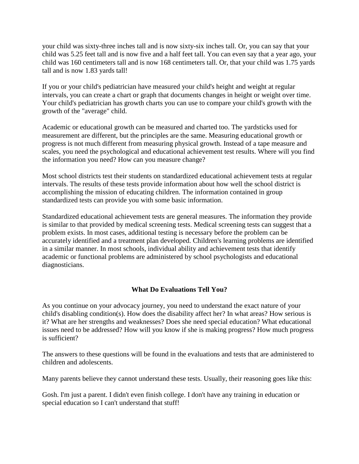your child was sixty-three inches tall and is now sixty-six inches tall. Or, you can say that your child was 5.25 feet tall and is now five and a half feet tall. You can even say that a year ago, your child was 160 centimeters tall and is now 168 centimeters tall. Or, that your child was 1.75 yards tall and is now 1.83 yards tall!

If you or your child's pediatrician have measured your child's height and weight at regular intervals, you can create a chart or graph that documents changes in height or weight over time. Your child's pediatrician has growth charts you can use to compare your child's growth with the growth of the "average" child.

Academic or educational growth can be measured and charted too. The yardsticks used for measurement are different, but the principles are the same. Measuring educational growth or progress is not much different from measuring physical growth. Instead of a tape measure and scales, you need the psychological and educational achievement test results. Where will you find the information you need? How can you measure change?

Most school districts test their students on standardized educational achievement tests at regular intervals. The results of these tests provide information about how well the school district is accomplishing the mission of educating children. The information contained in group standardized tests can provide you with some basic information.

Standardized educational achievement tests are general measures. The information they provide is similar to that provided by medical screening tests. Medical screening tests can suggest that a problem exists. In most cases, additional testing is necessary before the problem can be accurately identified and a treatment plan developed. Children's learning problems are identified in a similar manner. In most schools, individual ability and achievement tests that identify academic or functional problems are administered by school psychologists and educational diagnosticians.

# **What Do Evaluations Tell You?**

As you continue on your advocacy journey, you need to understand the exact nature of your child's disabling condition(s). How does the disability affect her? In what areas? How serious is it? What are her strengths and weaknesses? Does she need special education? What educational issues need to be addressed? How will you know if she is making progress? How much progress is sufficient?

The answers to these questions will be found in the evaluations and tests that are administered to children and adolescents.

Many parents believe they cannot understand these tests. Usually, their reasoning goes like this:

Gosh. I'm just a parent. I didn't even finish college. I don't have any training in education or special education so I can't understand that stuff!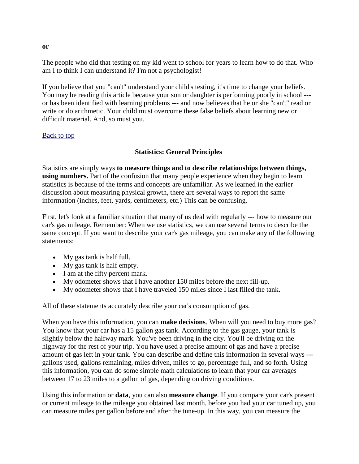The people who did that testing on my kid went to school for years to learn how to do that. Who am I to think I can understand it? I'm not a psychologist!

If you believe that you "can't" understand your child's testing, it's time to change your beliefs. You may be reading this article because your son or daughter is performing poorly in school -- or has been identified with learning problems --- and now believes that he or she "can't" read or write or do arithmetic. Your child must overcome these false beliefs about learning new or difficult material. And, so must you.

## [Back to top](http://www.wrightslaw.com/#Top#Top)

# **Statistics: General Principles**

Statistics are simply ways **to measure things and to describe relationships between things, using numbers.** Part of the confusion that many people experience when they begin to learn statistics is because of the terms and concepts are unfamiliar. As we learned in the earlier discussion about measuring physical growth, there are several ways to report the same information (inches, feet, yards, centimeters, etc.) This can be confusing.

First, let's look at a familiar situation that many of us deal with regularly --- how to measure our car's gas mileage. Remember: When we use statistics, we can use several terms to describe the same concept. If you want to describe your car's gas mileage, you can make any of the following statements:

- My gas tank is half full.
- My gas tank is half empty.
- I am at the fifty percent mark.
- My odometer shows that I have another 150 miles before the next fill-up.
- My odometer shows that I have traveled 150 miles since I last filled the tank.

All of these statements accurately describe your car's consumption of gas.

When you have this information, you can **make decisions**. When will you need to buy more gas? You know that your car has a 15 gallon gas tank. According to the gas gauge, your tank is slightly below the halfway mark. You've been driving in the city. You'll be driving on the highway for the rest of your trip. You have used a precise amount of gas and have a precise amount of gas left in your tank. You can describe and define this information in several ways -- gallons used, gallons remaining, miles driven, miles to go, percentage full, and so forth. Using this information, you can do some simple math calculations to learn that your car averages between 17 to 23 miles to a gallon of gas, depending on driving conditions.

Using this information or **data**, you can also **measure change**. If you compare your car's present or current mileage to the mileage you obtained last month, before you had your car tuned up, you can measure miles per gallon before and after the tune-up. In this way, you can measure the

**or**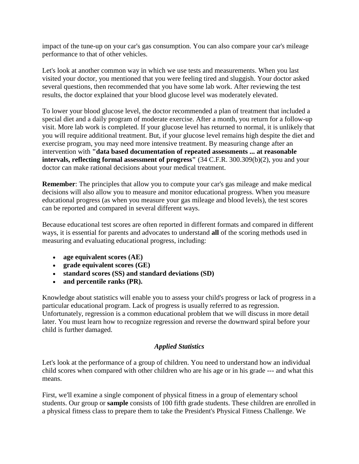impact of the tune-up on your car's gas consumption. You can also compare your car's mileage performance to that of other vehicles.

Let's look at another common way in which we use tests and measurements. When you last visited your doctor, you mentioned that you were feeling tired and sluggish. Your doctor asked several questions, then recommended that you have some lab work. After reviewing the test results, the doctor explained that your blood glucose level was moderately elevated.

To lower your blood glucose level, the doctor recommended a plan of treatment that included a special diet and a daily program of moderate exercise. After a month, you return for a follow-up visit. More lab work is completed. If your glucose level has returned to normal, it is unlikely that you will require additional treatment. But, if your glucose level remains high despite the diet and exercise program, you may need more intensive treatment. By measuring change after an intervention with **"data based documentation of repeated assessments ... at reasonable intervals, reflecting formal assessment of progress"** (34 C.F.R. 300.309(b)(2), you and your doctor can make rational decisions about your medical treatment.

**Remember**: The principles that allow you to compute your car's gas mileage and make medical decisions will also allow you to measure and monitor educational progress. When you measure educational progress (as when you measure your gas mileage and blood levels), the test scores can be reported and compared in several different ways.

Because educational test scores are often reported in different formats and compared in different ways, it is essential for parents and advocates to understand **all** of the scoring methods used in measuring and evaluating educational progress, including:

- **age equivalent scores (AE)**
- **grade equivalent scores (GE)**
- **standard scores (SS) and standard deviations (SD)**
- **and percentile ranks (PR).**

Knowledge about statistics will enable you to assess your child's progress or lack of progress in a particular educational program. Lack of progress is usually referred to as regression. Unfortunately, regression is a common educational problem that we will discuss in more detail later. You must learn how to recognize regression and reverse the downward spiral before your child is further damaged.

# *Applied Statistics*

Let's look at the performance of a group of children. You need to understand how an individual child scores when compared with other children who are his age or in his grade --- and what this means.

First, we'll examine a single component of physical fitness in a group of elementary school students. Our group or **sample** consists of 100 fifth grade students. These children are enrolled in a physical fitness class to prepare them to take the President's Physical Fitness Challenge. We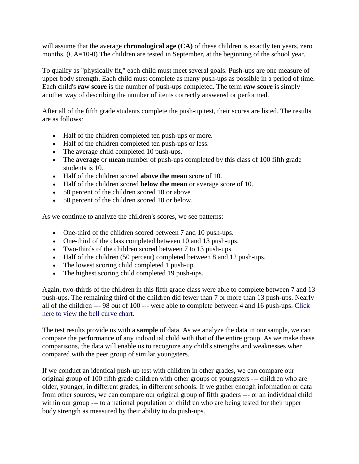will assume that the average **chronological age** (CA) of these children is exactly ten years, zero months. (CA=10-0) The children are tested in September, at the beginning of the school year.

To qualify as "physically fit," each child must meet several goals. Push-ups are one measure of upper body strength. Each child must complete as many push-ups as possible in a period of time. Each child's **raw score** is the number of push-ups completed. The term **raw score** is simply another way of describing the number of items correctly answered or performed.

After all of the fifth grade students complete the push-up test, their scores are listed. The results are as follows:

- Half of the children completed ten push-ups or more.
- Half of the children completed ten push-ups or less.
- The average child completed 10 push-ups.
- The **average** or **mean** number of push-ups completed by this class of 100 fifth grade students is 10.
- Half of the children scored **above the mean** score of 10.
- Half of the children scored **below the mean** or average score of 10.
- 50 percent of the children scored 10 or above
- 50 percent of the children scored 10 or below.

As we continue to analyze the children's scores, we see patterns:

- One-third of the children scored between 7 and 10 push-ups.
- One-third of the class completed between 10 and 13 push-ups.
- Two-thirds of the children scored between 7 to 13 push-ups.
- Half of the children (50 percent) completed between 8 and 12 push-ups.
- The lowest scoring child completed 1 push-up.
- The highest scoring child completed 19 push-ups.

Again, two-thirds of the children in this fifth grade class were able to complete between 7 and 13 push-ups. The remaining third of the children did fewer than 7 or more than 13 push-ups. Nearly all of the children --- 98 out of 100 --- were able to complete between 4 and 16 push-ups. [Click](http://www.wrightslaw.com/#bellcurve#bellcurve)  [here to view the bell curve chart.](http://www.wrightslaw.com/#bellcurve#bellcurve)

The test results provide us with a **sample** of data. As we analyze the data in our sample, we can compare the performance of any individual child with that of the entire group. As we make these comparisons, the data will enable us to recognize any child's strengths and weaknesses when compared with the peer group of similar youngsters.

If we conduct an identical push-up test with children in other grades, we can compare our original group of 100 fifth grade children with other groups of youngsters --- children who are older, younger, in different grades, in different schools. If we gather enough information or data from other sources, we can compare our original group of fifth graders --- or an individual child within our group --- to a national population of children who are being tested for their upper body strength as measured by their ability to do push-ups.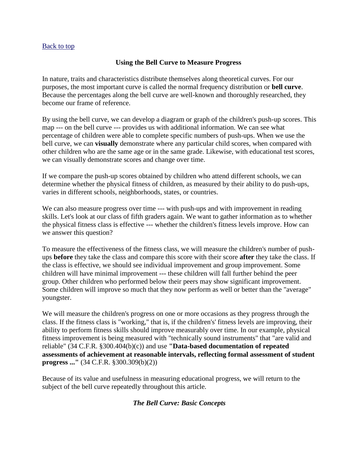## [Back to top](http://www.wrightslaw.com/#Top#Top)

## **Using the Bell Curve to Measure Progress**

In nature, traits and characteristics distribute themselves along theoretical curves. For our purposes, the most important curve is called the normal frequency distribution or **bell curve**. Because the percentages along the bell curve are well-known and thoroughly researched, they become our frame of reference.

By using the bell curve, we can develop a diagram or graph of the children's push-up scores. This map --- on the bell curve --- provides us with additional information. We can see what percentage of children were able to complete specific numbers of push-ups. When we use the bell curve, we can **visually** demonstrate where any particular child scores, when compared with other children who are the same age or in the same grade. Likewise, with educational test scores, we can visually demonstrate scores and change over time.

If we compare the push-up scores obtained by children who attend different schools, we can determine whether the physical fitness of children, as measured by their ability to do push-ups, varies in different schools, neighborhoods, states, or countries.

We can also measure progress over time --- with push-ups and with improvement in reading skills. Let's look at our class of fifth graders again. We want to gather information as to whether the physical fitness class is effective --- whether the children's fitness levels improve. How can we answer this question?

To measure the effectiveness of the fitness class, we will measure the children's number of pushups **before** they take the class and compare this score with their score **after** they take the class. If the class is effective, we should see individual improvement and group improvement. Some children will have minimal improvement --- these children will fall further behind the peer group. Other children who performed below their peers may show significant improvement. Some children will improve so much that they now perform as well or better than the "average" youngster.

We will measure the children's progress on one or more occasions as they progress through the class. If the fitness class is "working," that is, if the children's' fitness levels are improving, their ability to perform fitness skills should improve measurably over time. In our example, physical fitness improvement is being measured with "technically sound instruments" that "are valid and reliable" (34 C.F.R. §300.404(b)(c)) and use **"Data-based documentation of repeated assessments of achievement at reasonable intervals, reflecting formal assessment of student progress ..."** (34 C.F.R. §300.309(b)(2))

Because of its value and usefulness in measuring educational progress, we will return to the subject of the bell curve repeatedly throughout this article.

# *The Bell Curve: Basic Concepts*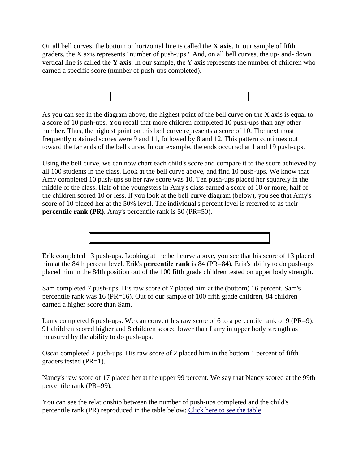On all bell curves, the bottom or horizontal line is called the **X axis**. In our sample of fifth graders, the X axis represents "number of push-ups." And, on all bell curves, the up- and- down vertical line is called the **Y axis**. In our sample, the Y axis represents the number of children who earned a specific score (number of push-ups completed).



As you can see in the diagram above, the highest point of the bell curve on the X axis is equal to a score of 10 push-ups. You recall that more children completed 10 push-ups than any other number. Thus, the highest point on this bell curve represents a score of 10. The next most frequently obtained scores were 9 and 11, followed by 8 and 12. This pattern continues out toward the far ends of the bell curve. In our example, the ends occurred at 1 and 19 push-ups.

Using the bell curve, we can now chart each child's score and compare it to the score achieved by all 100 students in the class. Look at the bell curve above, and find 10 push-ups. We know that Amy completed 10 push-ups so her raw score was 10. Ten push-ups placed her squarely in the middle of the class. Half of the youngsters in Amy's class earned a score of 10 or more; half of the children scored 10 or less. If you look at the bell curve diagram (below), you see that Amy's score of 10 placed her at the 50% level. The individual's percent level is referred to as their **percentile rank (PR)**. Amy's percentile rank is 50 (PR=50).

Erik completed 13 push-ups. Looking at the bell curve above, you see that his score of 13 placed him at the 84th percent level. Erik's **percentile rank** is 84 (PR=84). Erik's ability to do push-ups placed him in the 84th position out of the 100 fifth grade children tested on upper body strength.

Sam completed 7 push-ups. His raw score of 7 placed him at the (bottom) 16 percent. Sam's percentile rank was 16 (PR=16). Out of our sample of 100 fifth grade children, 84 children earned a higher score than Sam.

Larry completed 6 push-ups. We can convert his raw score of 6 to a percentile rank of 9 (PR=9). 91 children scored higher and 8 children scored lower than Larry in upper body strength as measured by the ability to do push-ups.

Oscar completed 2 push-ups. His raw score of 2 placed him in the bottom 1 percent of fifth graders tested (PR=1).

Nancy's raw score of 17 placed her at the upper 99 percent. We say that Nancy scored at the 99th percentile rank (PR=99).

You can see the relationship between the number of push-ups completed and the child's percentile rank (PR) reproduced in the table below: [Click here to see the table](http://www.wrightslaw.com/#table1#table1)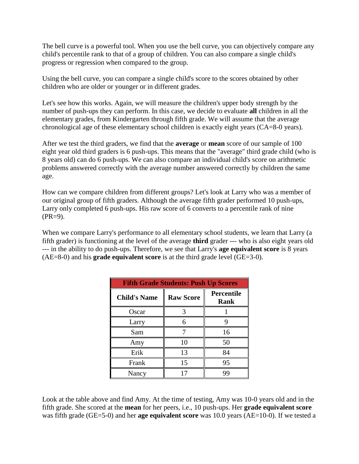The bell curve is a powerful tool. When you use the bell curve, you can objectively compare any child's percentile rank to that of a group of children. You can also compare a single child's progress or regression when compared to the group.

Using the bell curve, you can compare a single child's score to the scores obtained by other children who are older or younger or in different grades.

Let's see how this works. Again, we will measure the children's upper body strength by the number of push-ups they can perform. In this case, we decide to evaluate **all** children in all the elementary grades, from Kindergarten through fifth grade. We will assume that the average chronological age of these elementary school children is exactly eight years (CA=8-0 years).

After we test the third graders, we find that the **average** or **mean** score of our sample of 100 eight year old third graders is 6 push-ups. This means that the "average" third grade child (who is 8 years old) can do 6 push-ups. We can also compare an individual child's score on arithmetic problems answered correctly with the average number answered correctly by children the same age.

How can we compare children from different groups? Let's look at Larry who was a member of our original group of fifth graders. Although the average fifth grader performed 10 push-ups, Larry only completed 6 push-ups. His raw score of 6 converts to a percentile rank of nine  $(PR=9)$ .

When we compare Larry's performance to all elementary school students, we learn that Larry (a fifth grader) is functioning at the level of the average **third** grader --- who is also eight years old --- in the ability to do push-ups. Therefore, we see that Larry's **age equivalent score** is 8 years (AE=8-0) and his **grade equivalent score** is at the third grade level (GE=3-0).

| <b>Fifth Grade Students: Push Up Scores</b> |                  |                                  |  |  |  |  |
|---------------------------------------------|------------------|----------------------------------|--|--|--|--|
| <b>Child's Name</b>                         | <b>Raw Score</b> | <b>Percentile</b><br><b>Rank</b> |  |  |  |  |
| Oscar                                       | 3                |                                  |  |  |  |  |
| Larry                                       | 6                |                                  |  |  |  |  |
| Sam                                         |                  | 16                               |  |  |  |  |
| Amy                                         | 10               | 50                               |  |  |  |  |
| Erik                                        | 13               | 84                               |  |  |  |  |
| Frank                                       | 15               | 95                               |  |  |  |  |
| Nancy                                       | 17               | 99                               |  |  |  |  |

Look at the table above and find Amy. At the time of testing, Amy was 10-0 years old and in the fifth grade. She scored at the **mean** for her peers, i.e., 10 push-ups. Her **grade equivalent score** was fifth grade (GE=5-0) and her **age equivalent score** was 10.0 years (AE=10-0). If we tested a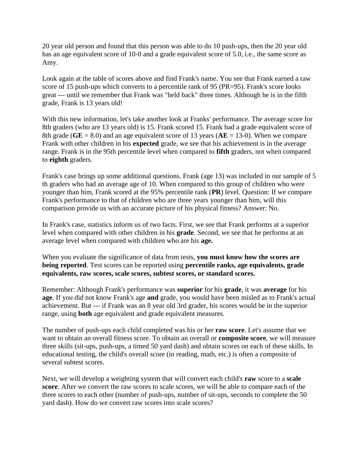20 year old person and found that this person was able to do 10 push-ups, then the 20 year old has an age equivalent score of 10-0 and a grade equivalent score of 5.0, i.e., the same score as Amy.

Look again at the table of scores above and find Frank's name. You see that Frank earned a raw score of 15 push-ups which converts to a percentile rank of 95 (PR=95). Frank's score looks great --- until we remember that Frank was "held back" three times. Although he is in the fifth grade, Frank is 13 years old!

With this new information, let's take another look at Franks' performance. The average score for 8th graders (who are 13 years old) is 15. Frank scored 15. Frank had a grade equivalent score of 8th grade (**GE** = 8.0) and an age equivalent score of 13 years (**AE** = 13-0). When we compare Frank with other children in his **expected** grade, we see that his achievement is in the average range. Frank is in the 95th percentile level when compared to **fifth** graders, not when compared to **eighth** graders.

Frank's case brings up some additional questions. Frank (age 13) was included in our sample of 5 th graders who had an average age of 10. When compared to this group of children who were younger than him, Frank scored at the 95% percentile rank (**PR**) level. Question: If we compare Frank's performance to that of children who are three years younger than him, will this comparison provide us with an accurate picture of his physical fitness? Answer: No.

In Frank's case, statistics inform us of two facts. First, we see that Frank performs at a superior level when compared with other children in his **grade**. Second, we see that he performs at an average level when compared with children who are his **age.**

When you evaluate the significance of data from tests, **you must know how the scores are being reported**. Test scores can be reported using **percentile ranks, age equivalents, grade equivalents, raw scores, scale scores, subtest scores, or standard scores.**

Remember: Although Frank's performance was **superior** for his **grade**, it was **average** for his **age**. If you did not know Frank's age **and** grade, you would have been misled as to Frank's actual achievement. But --- if Frank was an 8 year old 3rd grader, his scores would be in the superior range, using **both** age equivalent and grade equivalent measures.

The number of push-ups each child completed was his or her **raw score**. Let's assume that we want to obtain an overall fitness score. To obtain an overall or **composite score**, we will measure three skills (sit-ups, push-ups, a timed 50 yard dash) and obtain scores on each of these skills. In educational testing, the child's overall score (in reading, math, etc.) is often a composite of several subtest scores.

Next, we will develop a weighting system that will convert each child's **raw** score to a **scale score**. After we convert the raw scores to scale scores, we will be able to compare each of the three scores to each other (number of push-ups, number of sit-ups, seconds to complete the 50 yard dash). How do we convert raw scores into scale scores?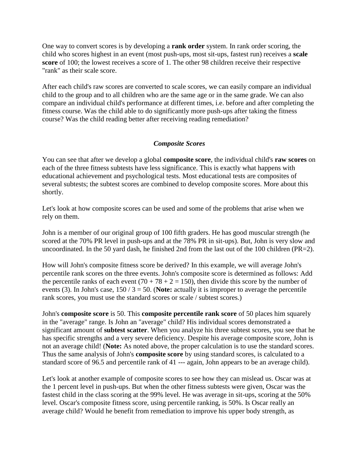One way to convert scores is by developing a **rank order** system. In rank order scoring, the child who scores highest in an event (most push-ups, most sit-ups, fastest run) receives a **scale score** of 100; the lowest receives a score of 1. The other 98 children receive their respective "rank" as their scale score.

After each child's raw scores are converted to scale scores, we can easily compare an individual child to the group and to all children who are the same age or in the same grade. We can also compare an individual child's performance at different times, i.e. before and after completing the fitness course. Was the child able to do significantly more push-ups after taking the fitness course? Was the child reading better after receiving reading remediation?

## *Composite Scores*

You can see that after we develop a global **composite score**, the individual child's **raw scores** on each of the three fitness subtests have less significance. This is exactly what happens with educational achievement and psychological tests. Most educational tests are composites of several subtests; the subtest scores are combined to develop composite scores. More about this shortly.

Let's look at how composite scores can be used and some of the problems that arise when we rely on them.

John is a member of our original group of 100 fifth graders. He has good muscular strength (he scored at the 70% PR level in push-ups and at the 78% PR in sit-ups). But, John is very slow and uncoordinated. In the 50 yard dash, he finished 2nd from the last out of the 100 children (PR=2).

How will John's composite fitness score be derived? In this example, we will average John's percentile rank scores on the three events. John's composite score is determined as follows: Add the percentile ranks of each event  $(70 + 78 + 2 = 150)$ , then divide this score by the number of events (3). In John's case, 150 / 3 = 50. (**Note:** actually it is improper to average the percentile rank scores, you must use the standard scores or scale / subtest scores.)

John's **composite score** is 50. This **composite percentile rank score** of 50 places him squarely in the "average" range. Is John an "average" child? His individual scores demonstrated a significant amount of **subtest scatter**. When you analyze his three subtest scores, you see that he has specific strengths and a very severe deficiency. Despite his average composite score, John is not an average child! (**Note:** As noted above, the proper calculation is to use the standard scores. Thus the same analysis of John's **composite score** by using standard scores, is calculated to a standard score of 96.5 and percentile rank of 41 --- again, John appears to be an average child).

Let's look at another example of composite scores to see how they can mislead us. Oscar was at the 1 percent level in push-ups. But when the other fitness subtests were given, Oscar was the fastest child in the class scoring at the 99% level. He was average in sit-ups, scoring at the 50% level. Oscar's composite fitness score, using percentile ranking, is 50%. Is Oscar really an average child? Would he benefit from remediation to improve his upper body strength, as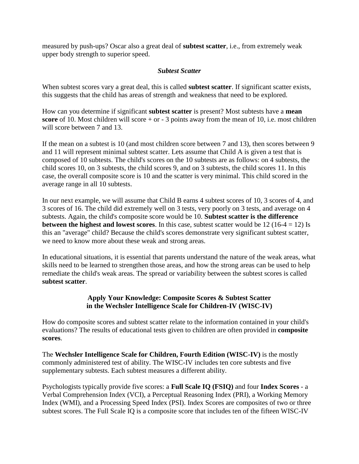measured by push-ups? Oscar also a great deal of **subtest scatter**, i.e., from extremely weak upper body strength to superior speed.

# *Subtest Scatter*

When subtest scores vary a great deal, this is called **subtest scatter**. If significant scatter exists, this suggests that the child has areas of strength and weakness that need to be explored.

How can you determine if significant **subtest scatter** is present? Most subtests have a **mean score** of 10. Most children will score + or - 3 points away from the mean of 10, i.e. most children will score between 7 and 13.

If the mean on a subtest is 10 (and most children score between 7 and 13), then scores between 9 and 11 will represent minimal subtest scatter. Lets assume that Child A is given a test that is composed of 10 subtests. The child's scores on the 10 subtests are as follows: on 4 subtests, the child scores 10, on 3 subtests, the child scores 9, and on 3 subtests, the child scores 11. In this case, the overall composite score is 10 and the scatter is very minimal. This child scored in the average range in all 10 subtests.

In our next example, we will assume that Child B earns 4 subtest scores of 10, 3 scores of 4, and 3 scores of 16. The child did extremely well on 3 tests, very poorly on 3 tests, and average on 4 subtests. Again, the child's composite score would be 10. **Subtest scatter is the difference between the highest and lowest scores**. In this case, subtest scatter would be  $12(16-4 = 12)$  Is this an "average" child? Because the child's scores demonstrate very significant subtest scatter, we need to know more about these weak and strong areas.

In educational situations, it is essential that parents understand the nature of the weak areas, what skills need to be learned to strengthen those areas, and how the strong areas can be used to help remediate the child's weak areas. The spread or variability between the subtest scores is called **subtest scatter**.

## **Apply Your Knowledge: Composite Scores & Subtest Scatter in the Wechsler Intelligence Scale for Children-IV (WISC-IV)**

How do composite scores and subtest scatter relate to the information contained in your child's evaluations? The results of educational tests given to children are often provided in **composite scores**.

The **Wechsler Intelligence Scale for Children, Fourth Edition (WISC-IV)** is the mostly commonly administered test of ability. The WISC-IV includes ten core subtests and five supplementary subtests. Each subtest measures a different ability.

Psychologists typically provide five scores: a **Full Scale IQ (FSIQ)** and four **Index Scores** - a Verbal Comprehension Index (VCI), a Perceptual Reasoning Index (PRI), a Working Memory Index (WMI), and a Processing Speed Index (PSI). Index Scores are composites of two or three subtest scores. The Full Scale IQ is a composite score that includes ten of the fifteen WISC-IV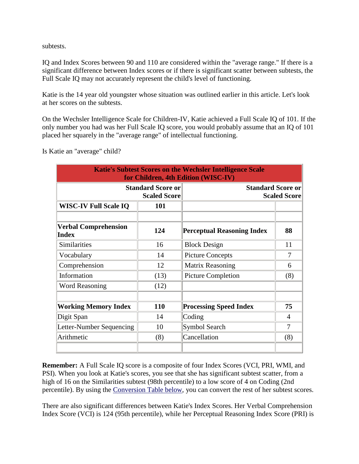subtests.

IQ and Index Scores between 90 and 110 are considered within the "average range." If there is a significant difference between Index scores or if there is significant scatter between subtests, the Full Scale IQ may not accurately represent the child's level of functioning.

Katie is the 14 year old youngster whose situation was outlined earlier in this article. Let's look at her scores on the subtests.

On the Wechsler Intelligence Scale for Children-IV, Katie achieved a Full Scale IQ of 101. If the only number you had was her Full Scale IQ score, you would probably assume that an IQ of 101 placed her squarely in the "average range" of intellectual functioning.

Is Katie an "average" child?

| <b>Katie's Subtest Scores on the Wechsler Intelligence Scale</b><br>for Children, 4th Edition (WISC-IV) |                                                 |                                                 |     |  |  |  |  |
|---------------------------------------------------------------------------------------------------------|-------------------------------------------------|-------------------------------------------------|-----|--|--|--|--|
|                                                                                                         | <b>Standard Score or</b><br><b>Scaled Score</b> | <b>Standard Score or</b><br><b>Scaled Score</b> |     |  |  |  |  |
| <b>WISC-IV Full Scale IQ</b>                                                                            | 101                                             |                                                 |     |  |  |  |  |
| <b>Verbal Comprehension</b><br>Index                                                                    | 124                                             | <b>Perceptual Reasoning Index</b>               | 88  |  |  |  |  |
| Similarities                                                                                            | 16                                              | <b>Block Design</b>                             | 11  |  |  |  |  |
| Vocabulary                                                                                              | 14                                              |                                                 | 7   |  |  |  |  |
| Comprehension                                                                                           | 12                                              |                                                 | 6   |  |  |  |  |
| Information                                                                                             | (13)                                            | <b>Picture Completion</b>                       | (8) |  |  |  |  |
| <b>Word Reasoning</b>                                                                                   | (12)                                            |                                                 |     |  |  |  |  |
| <b>Working Memory Index</b>                                                                             | <b>110</b>                                      | <b>Processing Speed Index</b>                   | 75  |  |  |  |  |
| Digit Span                                                                                              | 14                                              | Coding                                          | 4   |  |  |  |  |
| Letter-Number Sequencing                                                                                | 10                                              | Symbol Search                                   | 7   |  |  |  |  |
| Arithmetic                                                                                              | (8)                                             | Cancellation                                    | (8) |  |  |  |  |

**Remember:** A Full Scale IQ score is a composite of four Index Scores (VCI, PRI, WMI, and PSI). When you look at Katie's scores, you see that she has significant subtest scatter, from a high of 16 on the Similarities subtest (98th percentile) to a low score of 4 on Coding (2nd percentile). By using the [Conversion Table below,](http://www.wrightslaw.com/#convert#convert) you can convert the rest of her subtest scores.

There are also significant differences between Katie's Index Scores. Her Verbal Comprehension Index Score (VCI) is 124 (95th percentile), while her Perceptual Reasoning Index Score (PRI) is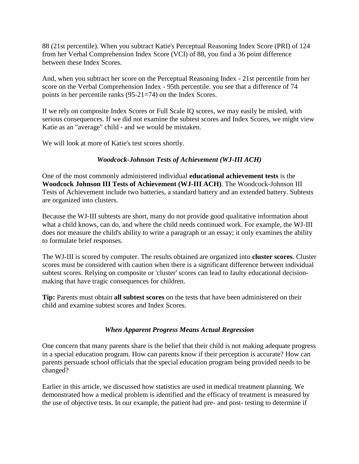88 (21st percentile). When you subtract Katie's Perceptual Reasoning Index Score (PRI) of 124 from her Verbal Comprehension Index Score (VCI) of 88, you find a 36 point difference between these Index Scores.

And, when you subtract her score on the Perceptual Reasoning Index - 21st percentile from her score on the Verbal Comprehension Index - 95th percentile. you see that a difference of 74 points in her percentile ranks (95-21=74) on the Index Scores.

If we rely on composite Index Scores or Full Scale IQ scores, we may easily be misled, with serious consequences. If we did not examine the subtest scores and Index Scores, we might view Katie as an "average" child - and we would be mistaken.

We will look at more of Katie's test scores shortly.

# *Woodcock-Johnson Tests of Achievement (WJ-III ACH)*

One of the most commonly administered individual **educational achievement tests** is the **Woodcock Johnson III Tests of Achievement (WJ-III ACH)**. The Woodcock-Johnson III Tests of Achievement include two batteries, a standard battery and an extended battery. Subtests are organized into clusters.

Because the WJ-III subtests are short, many do not provide good qualitative information about what a child knows, can do, and where the child needs continued work. For example, the WJ-III does not measure the child's ability to write a paragraph or an essay; it only examines the ability to formulate brief responses.

The WJ-III is scored by computer. The results obtained are organized into **cluster scores**. Cluster scores must be considered with caution when there is a significant difference between individual subtest scores. Relying on composite or 'cluster' scores can lead to faulty educational decisionmaking that have tragic consequences for children.

**Tip:** Parents must obtain **all subtest scores** on the tests that have been administered on their child and examine subtest scores and Index Scores.

# *When Apparent Progress Means Actual Regression*

One concern that many parents share is the belief that their child is not making adequate progress in a special education program. How can parents know if their perception is accurate? How can parents persuade school officials that the special education program being provided needs to be changed?

Earlier in this article, we discussed how statistics are used in medical treatment planning. We demonstrated how a medical problem is identified and the efficacy of treatment is measured by the use of objective tests. In our example, the patient had pre- and post- testing to determine if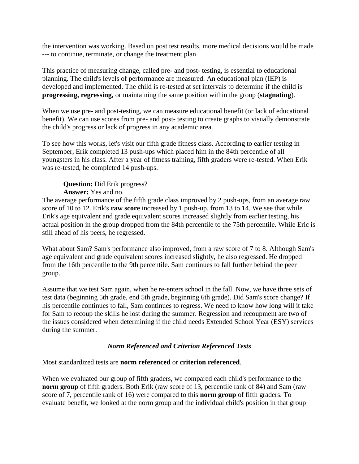the intervention was working. Based on post test results, more medical decisions would be made --- to continue, terminate, or change the treatment plan.

This practice of measuring change, called pre- and post- testing, is essential to educational planning. The child's levels of performance are measured. An educational plan (IEP) is developed and implemented. The child is re-tested at set intervals to determine if the child is **progressing, regressing,** or maintaining the same position within the group (**stagnating**).

When we use pre- and post-testing, we can measure educational benefit (or lack of educational benefit). We can use scores from pre- and post- testing to create graphs to visually demonstrate the child's progress or lack of progress in any academic area.

To see how this works, let's visit our fifth grade fitness class. According to earlier testing in September, Erik completed 13 push-ups which placed him in the 84th percentile of all youngsters in his class. After a year of fitness training, fifth graders were re-tested. When Erik was re-tested, he completed 14 push-ups.

**Question:** Did Erik progress? **Answer:** Yes and no.

The average performance of the fifth grade class improved by 2 push-ups, from an average raw score of 10 to 12. Erik's **raw score** increased by 1 push-up, from 13 to 14. We see that while Erik's age equivalent and grade equivalent scores increased slightly from earlier testing, his actual position in the group dropped from the 84th percentile to the 75th percentile. While Eric is still ahead of his peers, he regressed.

What about Sam? Sam's performance also improved, from a raw score of 7 to 8. Although Sam's age equivalent and grade equivalent scores increased slightly, he also regressed. He dropped from the 16th percentile to the 9th percentile. Sam continues to fall further behind the peer group.

Assume that we test Sam again, when he re-enters school in the fall. Now, we have three sets of test data (beginning 5th grade, end 5th grade, beginning 6th grade). Did Sam's score change? If his percentile continues to fall, Sam continues to regress. We need to know how long will it take for Sam to recoup the skills he lost during the summer. Regression and recoupment are two of the issues considered when determining if the child needs Extended School Year (ESY) services during the summer.

# *Norm Referenced and Criterion Referenced Tests*

Most standardized tests are **norm referenced** or **criterion referenced**.

When we evaluated our group of fifth graders, we compared each child's performance to the **norm group** of fifth graders. Both Erik (raw score of 13, percentile rank of 84) and Sam (raw score of 7, percentile rank of 16) were compared to this **norm group** of fifth graders. To evaluate benefit, we looked at the norm group and the individual child's position in that group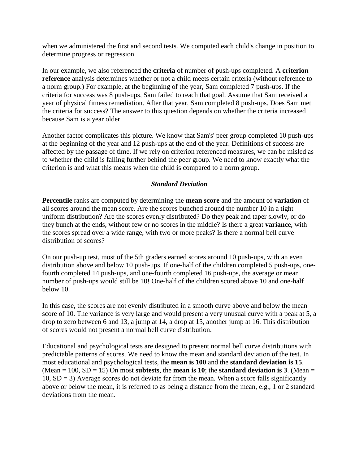when we administered the first and second tests. We computed each child's change in position to determine progress or regression.

In our example, we also referenced the **criteria** of number of push-ups completed. A **criterion reference** analysis determines whether or not a child meets certain criteria (without reference to a norm group.) For example, at the beginning of the year, Sam completed 7 push-ups. If the criteria for success was 8 push-ups, Sam failed to reach that goal. Assume that Sam received a year of physical fitness remediation. After that year, Sam completed 8 push-ups. Does Sam met the criteria for success? The answer to this question depends on whether the criteria increased because Sam is a year older.

Another factor complicates this picture. We know that Sam's' peer group completed 10 push-ups at the beginning of the year and 12 push-ups at the end of the year. Definitions of success are affected by the passage of time. If we rely on criterion referenced measures, we can be misled as to whether the child is falling further behind the peer group. We need to know exactly what the criterion is and what this means when the child is compared to a norm group.

## *Standard Deviation*

**Percentile** ranks are computed by determining the **mean score** and the amount of **variation** of all scores around the mean score. Are the scores bunched around the number 10 in a tight uniform distribution? Are the scores evenly distributed? Do they peak and taper slowly, or do they bunch at the ends, without few or no scores in the middle? Is there a great **variance**, with the scores spread over a wide range, with two or more peaks? Is there a normal bell curve distribution of scores?

On our push-up test, most of the 5th graders earned scores around 10 push-ups, with an even distribution above and below 10 push-ups. If one-half of the children completed 5 push-ups, onefourth completed 14 push-ups, and one-fourth completed 16 push-ups, the average or mean number of push-ups would still be 10! One-half of the children scored above 10 and one-half below 10.

In this case, the scores are not evenly distributed in a smooth curve above and below the mean score of 10. The variance is very large and would present a very unusual curve with a peak at 5, a drop to zero between 6 and 13, a jump at 14, a drop at 15, another jump at 16. This distribution of scores would not present a normal bell curve distribution.

Educational and psychological tests are designed to present normal bell curve distributions with predictable patterns of scores. We need to know the mean and standard deviation of the test. In most educational and psychological tests, the **mean is 100** and the **standard deviation is 15**. (Mean  $= 100$ , SD  $= 15$ ) On most **subtests**, the **mean is 10**; the **standard deviation is 3**. (Mean  $=$  $10$ ,  $SD = 3$ ) Average scores do not deviate far from the mean. When a score falls significantly above or below the mean, it is referred to as being a distance from the mean, e.g., 1 or 2 standard deviations from the mean.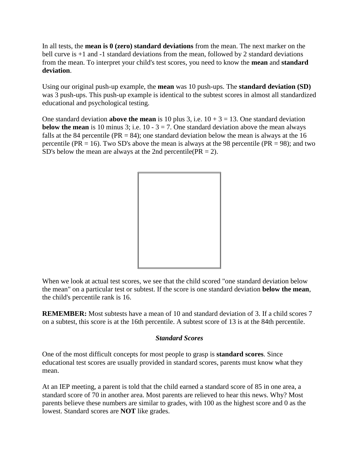In all tests, the **mean is 0 (zero) standard deviations** from the mean. The next marker on the bell curve is  $+1$  and  $-1$  standard deviations from the mean, followed by 2 standard deviations from the mean. To interpret your child's test scores, you need to know the **mean** and **standard deviation**.

Using our original push-up example, the **mean** was 10 push-ups. The **standard deviation (SD)** was 3 push-ups. This push-up example is identical to the subtest scores in almost all standardized educational and psychological testing.

One standard deviation **above the mean** is 10 plus 3, i.e.  $10 + 3 = 13$ . One standard deviation **below the mean** is 10 minus 3; i.e. 10 -  $3 = 7$ . One standard deviation above the mean always falls at the 84 percentile ( $PR = 84$ ); one standard deviation below the mean is always at the 16 percentile (PR = 16). Two SD's above the mean is always at the 98 percentile (PR = 98); and two SD's below the mean are always at the 2nd percentile( $PR = 2$ ).



When we look at actual test scores, we see that the child scored "one standard deviation below the mean" on a particular test or subtest. If the score is one standard deviation **below the mean**, the child's percentile rank is 16.

**REMEMBER:** Most subtests have a mean of 10 and standard deviation of 3. If a child scores 7 on a subtest, this score is at the 16th percentile. A subtest score of 13 is at the 84th percentile.

# *Standard Scores*

One of the most difficult concepts for most people to grasp is **standard scores**. Since educational test scores are usually provided in standard scores, parents must know what they mean.

At an IEP meeting, a parent is told that the child earned a standard score of 85 in one area, a standard score of 70 in another area. Most parents are relieved to hear this news. Why? Most parents believe these numbers are similar to grades, with 100 as the highest score and 0 as the lowest. Standard scores are **NOT** like grades.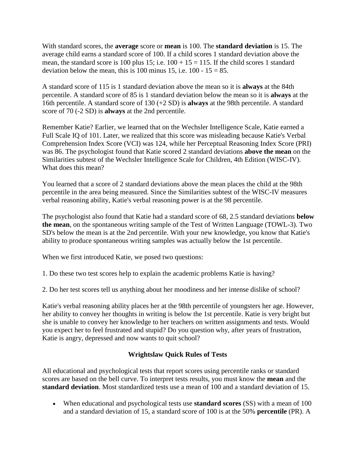With standard scores, the **average** score or **mean** is 100. The **standard deviation** is 15. The average child earns a standard score of 100. If a child scores 1 standard deviation above the mean, the standard score is 100 plus 15; i.e.  $100 + 15 = 115$ . If the child scores 1 standard deviation below the mean, this is 100 minus 15, i.e.  $100 - 15 = 85$ .

A standard score of 115 is 1 standard deviation above the mean so it is **always** at the 84th percentile. A standard score of 85 is 1 standard deviation below the mean so it is **always** at the 16th percentile. A standard score of 130 (+2 SD) is **always** at the 98th percentile. A standard score of 70 (-2 SD) is **always** at the 2nd percentile.

Remember Katie? Earlier, we learned that on the Wechsler Intelligence Scale, Katie earned a Full Scale IQ of 101. Later, we realized that this score was misleading because Katie's Verbal Comprehension Index Score (VCI) was 124, while her Perceptual Reasoning Index Score (PRI) was 86. The psychologist found that Katie scored 2 standard deviations **above the mean** on the Similarities subtest of the Wechsler Intelligence Scale for Children, 4th Edition (WISC-IV). What does this mean?

You learned that a score of 2 standard deviations above the mean places the child at the 98th percentile in the area being measured. Since the Similarities subtest of the WISC-IV measures verbal reasoning ability, Katie's verbal reasoning power is at the 98 percentile.

The psychologist also found that Katie had a standard score of 68, 2.5 standard deviations **below the mean**, on the spontaneous writing sample of the Test of Written Language (TOWL-3). Two SD's below the mean is at the 2nd percentile. With your new knowledge, you know that Katie's ability to produce spontaneous writing samples was actually below the 1st percentile.

When we first introduced Katie, we posed two questions:

1. Do these two test scores help to explain the academic problems Katie is having?

2. Do her test scores tell us anything about her moodiness and her intense dislike of school?

Katie's verbal reasoning ability places her at the 98th percentile of youngsters her age. However, her ability to convey her thoughts in writing is below the 1st percentile. Katie is very bright but she is unable to convey her knowledge to her teachers on written assignments and tests. Would you expect her to feel frustrated and stupid? Do you question why, after years of frustration, Katie is angry, depressed and now wants to quit school?

# **Wrightslaw Quick Rules of Tests**

All educational and psychological tests that report scores using percentile ranks or standard scores are based on the bell curve. To interpret tests results, you must know the **mean** and the **standard deviation**. Most standardized tests use a mean of 100 and a standard deviation of 15.

 When educational and psychological tests use **standard scores** (SS) with a mean of 100 and a standard deviation of 15, a standard score of 100 is at the 50% **percentile** (PR). A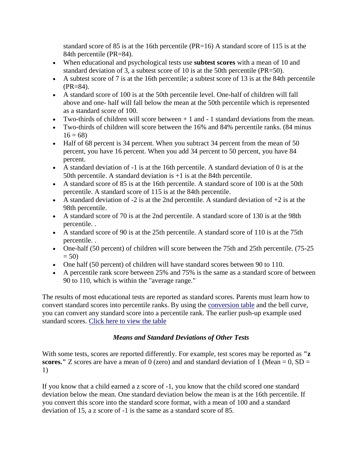standard score of 85 is at the 16th percentile  $(PR=16)$  A standard score of 115 is at the 84th percentile (PR=84).

- When educational and psychological tests use **subtest scores** with a mean of 10 and standard deviation of 3, a subtest score of 10 is at the 50th percentile (PR=50).
- A subtest score of 7 is at the 16th percentile; a subtest score of 13 is at the 84th percentile (PR=84).
- A standard score of 100 is at the 50th percentile level. One-half of children will fall above and one- half will fall below the mean at the 50th percentile which is represented as a standard score of 100.
- Two-thirds of children will score between  $+1$  and  $-1$  standard deviations from the mean.
- Two-thirds of children will score between the 16% and 84% percentile ranks. (84 minus  $16 = 68$
- Half of 68 percent is 34 percent. When you subtract 34 percent from the mean of 50 percent, you have 16 percent. When you add 34 percent to 50 percent, you have 84 percent.
- A standard deviation of -1 is at the 16th percentile. A standard deviation of 0 is at the 50th percentile. A standard deviation is +1 is at the 84th percentile.
- A standard score of 85 is at the 16th percentile. A standard score of 100 is at the 50th percentile. A standard score of 115 is at the 84th percentile.
- A standard deviation of  $-2$  is at the 2nd percentile. A standard deviation of  $+2$  is at the 98th percentile.
- A standard score of 70 is at the 2nd percentile. A standard score of 130 is at the 98th percentile. .
- A standard score of 90 is at the 25th percentile. A standard score of 110 is at the 75th percentile. .
- One-half (50 percent) of children will score between the 75th and 25th percentile. (75-25)  $= 50$
- One half (50 percent) of children will have standard scores between 90 to 110.
- A percentile rank score between 25% and 75% is the same as a standard score of between 90 to 110, which is within the "average range."

The results of most educational tests are reported as standard scores. Parents must learn how to convert standard scores into percentile ranks. By using the [conversion table](http://www.wrightslaw.com/#table2#table2) and the bell curve, you can convert any standard score into a percentile rank. The earlier push-up example used standard scores. [Click here to view the table](http://www.wrightslaw.com/#table2#table2)

# *Means and Standard Deviations of Other Tests*

With some tests, scores are reported differently. For example, test scores may be reported as **"z scores.**" Z scores are have a mean of 0 (zero) and and standard deviation of 1 (Mean  $= 0$ , SD  $=$ 1)

If you know that a child earned a z score of -1, you know that the child scored one standard deviation below the mean. One standard deviation below the mean is at the 16th percentile. If you convert this score into the standard score format, with a mean of 100 and a standard deviation of 15, a z score of -1 is the same as a standard score of 85.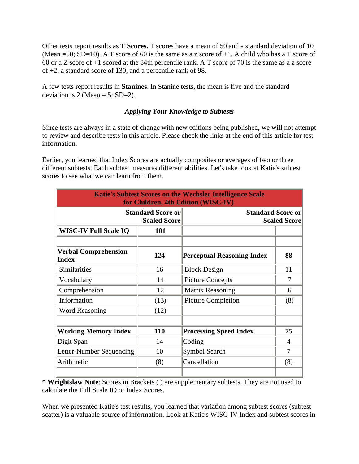Other tests report results as **T Scores.** T scores have a mean of 50 and a standard deviation of 10 (Mean =50; SD=10). A T score of 60 is the same as a z score of  $+1$ . A child who has a T score of 60 or a Z score of +1 scored at the 84th percentile rank. A T score of 70 is the same as a z score of +2, a standard score of 130, and a percentile rank of 98.

A few tests report results in **Stanines**. In Stanine tests, the mean is five and the standard deviation is 2 (Mean = 5; SD=2).

## *Applying Your Knowledge to Subtests*

Since tests are always in a state of change with new editions being published, we will not attempt to review and describe tests in this article. Please check the links at the end of this article for test information.

Earlier, you learned that Index Scores are actually composites or averages of two or three different subtests. Each subtest measures different abilities. Let's take look at Katie's subtest scores to see what we can learn from them.

| <b>Katie's Subtest Scores on the Wechsler Intelligence Scale</b><br>for Children, 4th Edition (WISC-IV) |      |                                                 |                |  |  |  |  |  |
|---------------------------------------------------------------------------------------------------------|------|-------------------------------------------------|----------------|--|--|--|--|--|
| <b>Standard Score or</b><br><b>Scaled Score</b>                                                         |      | <b>Standard Score or</b><br><b>Scaled Score</b> |                |  |  |  |  |  |
| <b>WISC-IV Full Scale IQ</b>                                                                            | 101  |                                                 |                |  |  |  |  |  |
| <b>Verbal Comprehension</b><br><b>Index</b>                                                             | 124  | <b>Perceptual Reasoning Index</b>               | 88             |  |  |  |  |  |
| Similarities                                                                                            | 16   | <b>Block Design</b>                             | 11             |  |  |  |  |  |
| Vocabulary                                                                                              | 14   | <b>Picture Concepts</b>                         | $\overline{7}$ |  |  |  |  |  |
| Comprehension<br>12                                                                                     |      | Matrix Reasoning                                | 6              |  |  |  |  |  |
| Information                                                                                             | (13) | <b>Picture Completion</b>                       | (8)            |  |  |  |  |  |
| <b>Word Reasoning</b>                                                                                   | (12) |                                                 |                |  |  |  |  |  |
| <b>Working Memory Index</b>                                                                             | 110  | <b>Processing Speed Index</b>                   | 75             |  |  |  |  |  |
| Digit Span                                                                                              | 14   | Coding                                          | $\overline{4}$ |  |  |  |  |  |
| Letter-Number Sequencing                                                                                | 10   | Symbol Search                                   | 7              |  |  |  |  |  |
| Arithmetic                                                                                              | (8)  | Cancellation                                    | (8)            |  |  |  |  |  |

**\* Wrightslaw Note**: Scores in Brackets ( ) are supplementary subtests. They are not used to calculate the Full Scale IQ or Index Scores.

When we presented Katie's test results, you learned that variation among subtest scores (subtest scatter) is a valuable source of information. Look at Katie's WISC-IV Index and subtest scores in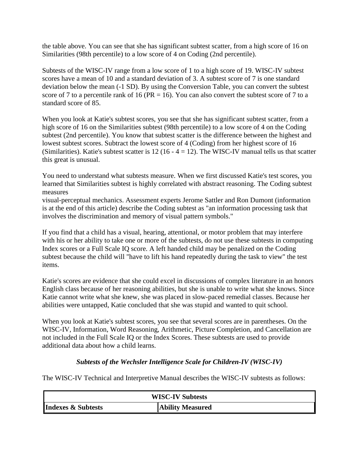the table above. You can see that she has significant subtest scatter, from a high score of 16 on Similarities (98th percentile) to a low score of 4 on Coding (2nd percentile).

Subtests of the WISC-IV range from a low score of 1 to a high score of 19. WISC-IV subtest scores have a mean of 10 and a standard deviation of 3. A subtest score of 7 is one standard deviation below the mean (-1 SD). By using the Conversion Table, you can convert the subtest score of 7 to a percentile rank of 16 ( $PR = 16$ ). You can also convert the subtest score of 7 to a standard score of 85.

When you look at Katie's subtest scores, you see that she has significant subtest scatter, from a high score of 16 on the Similarities subtest (98th percentile) to a low score of 4 on the Coding subtest (2nd percentile). You know that subtest scatter is the difference between the highest and lowest subtest scores. Subtract the lowest score of 4 (Coding) from her highest score of 16 (Similarities). Katie's subtest scatter is 12 (16 -  $4 = 12$ ). The WISC-IV manual tells us that scatter this great is unusual.

You need to understand what subtests measure. When we first discussed Katie's test scores, you learned that Similarities subtest is highly correlated with abstract reasoning. The Coding subtest measures

visual-perceptual mechanics. Assessment experts Jerome Sattler and Ron Dumont (information is at the end of this article) describe the Coding subtest as "an information processing task that involves the discrimination and memory of visual pattern symbols."

If you find that a child has a visual, hearing, attentional, or motor problem that may interfere with his or her ability to take one or more of the subtests, do not use these subtests in computing Index scores or a Full Scale IQ score. A left handed child may be penalized on the Coding subtest because the child will "have to lift his hand repeatedly during the task to view" the test items.

Katie's scores are evidence that she could excel in discussions of complex literature in an honors English class because of her reasoning abilities, but she is unable to write what she knows. Since Katie cannot write what she knew, she was placed in slow-paced remedial classes. Because her abilities were untapped, Katie concluded that she was stupid and wanted to quit school.

When you look at Katie's subtest scores, you see that several scores are in parentheses. On the WISC-IV, Information, Word Reasoning, Arithmetic, Picture Completion, and Cancellation are not included in the Full Scale IQ or the Index Scores. These subtests are used to provide additional data about how a child learns.

# *Subtests of the Wechsler Intelligence Scale for Children-IV (WISC-IV)*

The WISC-IV Technical and Interpretive Manual describes the WISC-IV subtests as follows:

| <b>WISC-IV Subtests</b>       |                  |  |  |  |
|-------------------------------|------------------|--|--|--|
| <b>Indexes &amp; Subtests</b> | Ability Measured |  |  |  |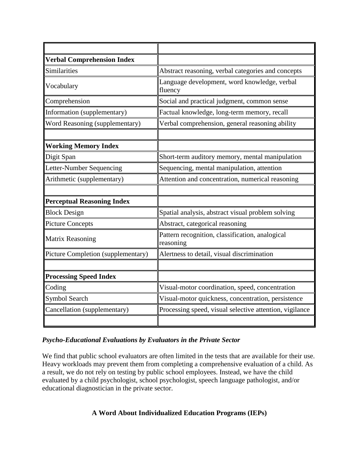| <b>Verbal Comprehension Index</b>  |                                                              |  |  |  |  |
|------------------------------------|--------------------------------------------------------------|--|--|--|--|
| <b>Similarities</b>                | Abstract reasoning, verbal categories and concepts           |  |  |  |  |
| Vocabulary                         | Language development, word knowledge, verbal<br>fluency      |  |  |  |  |
| Comprehension                      | Social and practical judgment, common sense                  |  |  |  |  |
| Information (supplementary)        | Factual knowledge, long-term memory, recall                  |  |  |  |  |
| Word Reasoning (supplementary)     | Verbal comprehension, general reasoning ability              |  |  |  |  |
|                                    |                                                              |  |  |  |  |
| <b>Working Memory Index</b>        |                                                              |  |  |  |  |
| Digit Span                         | Short-term auditory memory, mental manipulation              |  |  |  |  |
| Letter-Number Sequencing           | Sequencing, mental manipulation, attention                   |  |  |  |  |
| Arithmetic (supplementary)         | Attention and concentration, numerical reasoning             |  |  |  |  |
|                                    |                                                              |  |  |  |  |
| <b>Perceptual Reasoning Index</b>  |                                                              |  |  |  |  |
| <b>Block Design</b>                | Spatial analysis, abstract visual problem solving            |  |  |  |  |
| <b>Picture Concepts</b>            | Abstract, categorical reasoning                              |  |  |  |  |
| <b>Matrix Reasoning</b>            | Pattern recognition, classification, analogical<br>reasoning |  |  |  |  |
| Picture Completion (supplementary) | Alertness to detail, visual discrimination                   |  |  |  |  |
|                                    |                                                              |  |  |  |  |
| <b>Processing Speed Index</b>      |                                                              |  |  |  |  |
| Coding                             | Visual-motor coordination, speed, concentration              |  |  |  |  |
| Symbol Search                      | Visual-motor quickness, concentration, persistence           |  |  |  |  |
| Cancellation (supplementary)       | Processing speed, visual selective attention, vigilance      |  |  |  |  |
|                                    |                                                              |  |  |  |  |

# *Psycho-Educational Evaluations by Evaluators in the Private Sector*

We find that public school evaluators are often limited in the tests that are available for their use. Heavy workloads may prevent them from completing a comprehensive evaluation of a child. As a result, we do not rely on testing by public school employees. Instead, we have the child evaluated by a child psychologist, school psychologist, speech language pathologist, and/or educational diagnostician in the private sector.

# **A Word About Individualized Education Programs (IEPs)**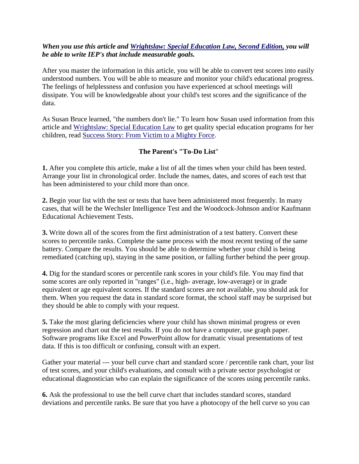## *When you use this article and [Wrightslaw: Special Education Law, Second Edition,](http://www.wrightslaw.com/bks/selaw2/selaw2.htm) you will be able to write IEP's that include measurable goals.*

After you master the information in this article, you will be able to convert test scores into easily understood numbers. You will be able to measure and monitor your child's educational progress. The feelings of helplessness and confusion you have experienced at school meetings will dissipate. You will be knowledgeable about your child's test scores and the significance of the data.

As Susan Bruce learned, "the numbers don't lie." To learn how Susan used information from this article and [Wrightslaw: Special Education Law](http://www.wrightslaw.com/bks/selaw2/selaw2.htm) to get quality special education programs for her children, read [Success Story: From Victim to a Mighty Force.](http://www.wrightslaw.com/info/advo.susan.success.htm)

# **The Parent's "To-Do List**"

**1.** After you complete this article, make a list of all the times when your child has been tested. Arrange your list in chronological order. Include the names, dates, and scores of each test that has been administered to your child more than once.

**2.** Begin your list with the test or tests that have been administered most frequently. In many cases, that will be the Wechsler Intelligence Test and the Woodcock-Johnson and/or Kaufmann Educational Achievement Tests.

**3.** Write down all of the scores from the first administration of a test battery. Convert these scores to percentile ranks. Complete the same process with the most recent testing of the same battery. Compare the results. You should be able to determine whether your child is being remediated (catching up), staying in the same position, or falling further behind the peer group.

**4.** Dig for the standard scores or percentile rank scores in your child's file. You may find that some scores are only reported in "ranges" (i.e., high- average, low-average) or in grade equivalent or age equivalent scores. If the standard scores are not available, you should ask for them. When you request the data in standard score format, the school staff may be surprised but they should be able to comply with your request.

**5.** Take the most glaring deficiencies where your child has shown minimal progress or even regression and chart out the test results. If you do not have a computer, use graph paper. Software programs like Excel and PowerPoint allow for dramatic visual presentations of test data. If this is too difficult or confusing, consult with an expert.

Gather your material --- your bell curve chart and standard score / percentile rank chart, your list of test scores, and your child's evaluations, and consult with a private sector psychologist or educational diagnostician who can explain the significance of the scores using percentile ranks.

**6.** Ask the professional to use the bell curve chart that includes standard scores, standard deviations and percentile ranks. Be sure that you have a photocopy of the bell curve so you can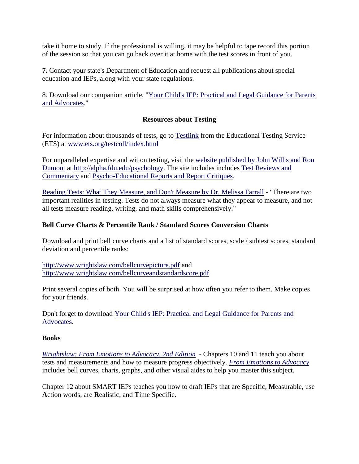take it home to study. If the professional is willing, it may be helpful to tape record this portion of the session so that you can go back over it at home with the test scores in front of you.

**7.** Contact your state's Department of Education and request all publications about special education and IEPs, along with your state regulations.

8. Download our companion article, ["Your Child's IEP: Practical and Legal Guidance for Parents](http://www.wrightslaw.com/advoc/articles/iep_guidance.html)  [and Advocates.](http://www.wrightslaw.com/advoc/articles/iep_guidance.html)"

# **Resources about Testing**

For information about thousands of tests, go to [Testlink](http://www.ets.org/testcoll/index.html) from the Educational Testing Service (ETS) at [www.ets.org/testcoll/index.html](http://www.ets.org/testcoll/index.html)

For unparalleled expertise and wit on testing, visit the [website published by John Willis and Ron](http://alpha.fdu.edu/psychology)  [Dumont](http://alpha.fdu.edu/psychology) at [http://alpha.fdu.edu/psychology.](http://alpha.fdu.edu/psychology) The site includes includes [Test Reviews and](http://alpha.fdu.edu/psychology/test_reviews__and__comment.htm)  [Commentary](http://alpha.fdu.edu/psychology/test_reviews__and__comment.htm) and [Psycho-Educational Reports and Report Critiques.](http://alpha.fdu.edu/psychology/reports.htm)

[Reading Tests: What They Measure, and Don't Measure by Dr. Melissa Farrall](http://www.wrightslaw.com/info/test.read.farrall.htm) - "There are two important realities in testing. Tests do not always measure what they appear to measure, and not all tests measure reading, writing, and math skills comprehensively."

# **Bell Curve Charts & Percentile Rank / Standard Scores Conversion Charts**

Download and print bell curve charts and a list of standard scores, scale / subtest scores, standard deviation and percentile ranks:

<http://www.wrightslaw.com/bellcurvepicture.pdf> and <http://www.wrightslaw.com/bellcurveandstandardscore.pdf>

Print several copies of both. You will be surprised at how often you refer to them. Make copies for your friends.

Don't forget to download [Your Child's IEP: Practical and Legal Guidance for Parents and](http://www.wrightslaw.com/advoc/articles/iep_guidance.html)  [Advocates.](http://www.wrightslaw.com/advoc/articles/iep_guidance.html)

# **Books**

*[Wrightslaw: From Emotions to Advocacy, 2nd Edition](http://www.wrightslaw.com/bks/feta2/feta2.htm)* - Chapters 10 and 11 teach you about tests and measurements and how to measure progress objectively. *[From Emotions to Advocacy](http://www.wrightslaw.com/bks/feta2/feta2.htm)* includes bell curves, charts, graphs, and other visual aides to help you master this subject.

Chapter 12 about SMART IEPs teaches you how to draft IEPs that are **S**pecific, **M**easurable, use **A**ction words, are **R**ealistic, and **T**ime Specific.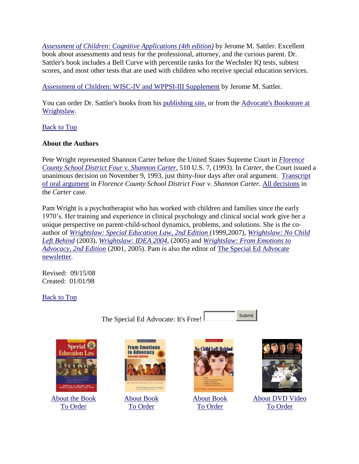*[Assessment of Children: Cognitive Applications \(4th edition\)](http://www.amazon.com/Assessment-Children-Applications-Jerome-Sattler/dp/0961820977/ref=nosim/thespecialedadvo)* by Jerome M. Sattler. Excellent book about assessments and tests for the professional, attorney, and the curious parent. Dr. Sattler's book includes a Bell Curve with percentile ranks for the Wechsler IQ tests, subtest scores, and most other tests that are used with children who receive special education services.

[Assessment of Children: WISC-IV and WPPSI-III Supplement](http://www.amazon.com/Assessment-Children-WISC-IV-WPPSI-III-Supplement/dp/0970267118/ref=nosim/thespecaleddvo) by Jerome M. Sattler.

You can order Dr. Sattler's books from his [publishing site,](http://www.sattlerpublisher.com/) or from the Advocate's Bookstore at [Wrightslaw.](http://www.wrightslaw.com/bkstore/bks_tests.htm)

[Back to Top](http://www.wrightslaw.com/#Top#Top)

# **About the Authors**

Pete Wright represented Shannon Carter before the United States Supreme Court in *[Florence](http://www.wrightslaw.com/law/caselaw/case_carter-us-supct.htm)  [County School District Four v. Shannon Carter](http://www.wrightslaw.com/law/caselaw/case_carter-us-supct.htm)*, 510 U.S. 7, (1993). In *Carter*, the Court issued a unanimous decision on November 9, 1993, just thirty-four days after oral argument. [Transcript](http://www.wrightslaw.com/law/caselaw/Carter_SupCt_Oral_Argument.html)  [of oral argument](http://www.wrightslaw.com/law/caselaw/Carter_SupCt_Oral_Argument.html) in *Florence County School District Four v. Shannon Carter*. [All decisions](http://www.wrightslaw.com/law/caselaw/carter.links.htm) in the *Carter* case.

Pam Wright is a psychotherapist who has worked with children and families since the early 1970's. Her training and experience in clinical psychology and clinical social work give her a unique perspective on parent-child-school dynamics, problems, and solutions. She is the coauthor of *[Wrightslaw: Special Education](http://www.wrightslaw.com/bks/selaw2/selaw2.htm) Law, 2nd Edition* (1999,2007), *[Wrightslaw: No Child](http://www.wrightslaw.com/bks/nclb/nclb.htm)  [Left Behind](http://www.wrightslaw.com/bks/nclb/nclb.htm)* (2003), *[Wrightslaw: IDEA 2004](http://www.wrightslaw.com/bks/idea04/index.htm)*, (2005) and *[Wrightslaw: From Emotions to](http://www.wrightslaw.com/bks/feta2/feta2.htm)  [Advocacy, 2nd Edition](http://www.wrightslaw.com/bks/feta2/feta2.htm)* (2001, 2005). Pam is also the editor of [The Special Ed Advocate](http://www.wrightslaw.com/subscribe.htm)  [newsletter.](http://www.wrightslaw.com/subscribe.htm)

Revised: 09/15/08 Created: 01/01/98

[Back to Top](http://www.wrightslaw.com/#Top#Top)

The Special Ed Advocate: It's Free!

Submit



[About the Book](http://www.wrightslaw.com/bks/selaw2/selaw2.htm) [To Order](http://www.wrightslaw.com/store/)



[About Book](http://www.wrightslaw.com/bks/feta2/feta2.htm) [To Order](http://www.wrightslaw.com/store/)







[About DVD Video](http://www.wrightslaw.com/bks/dvddp/index.htm) [To Order](http://www.wrightslaw.com/store/)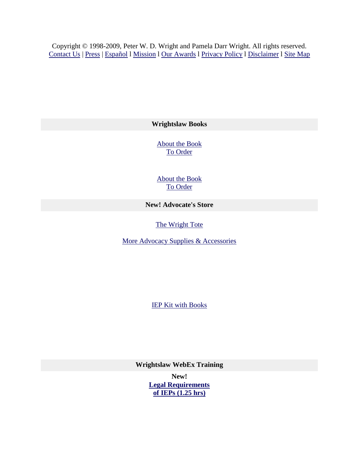Copyright © 1998-2009, Peter W. D. Wright and Pamela Darr Wright. All rights reserved. [Contact Us](mailto:webmaster@wrightslaw.com?subject=Contact%20from%20Wrightslaw.com) | [Press](http://www.wrightslaw.com/press.htm) | [Español](http://www.wrightslaw.com/translate.htm) l [Mission](http://www.wrightslaw.com/us.htm) l [Our Awards](http://www.wrightslaw.com/awards.htm) l [Privacy Policy](http://www.wrightslaw.com/priv_plcy.htm) l [Disclaimer](http://www.wrightslaw.com/disclaimer.htm) l [Site Map](http://www.wrightslaw.com/sitemap.htm)

**Wrightslaw Books**

[About the Book](http://www.wrightslaw.com/bks/selaw2/selaw2.htm) [To Order](http://www.wrightslaw.com/store/)

[About the Book](http://www.wrightslaw.com/bks/feta2/feta2.htm) [To Order](http://www.wrightslaw.com/store/)

**New! Advocate's Store** 

The Wright Tote

More Advocacy Supplies & Accessories

[IEP Kit with Books](http://www.wrightslaw.com/supplies/supplies.htm) 

**Wrightslaw WebEx Training**

**New! [Legal Requirements](http://www.wrightslaw.com/webex/iep.law.index.htm)  [of IEPs \(1.25 hrs\)](http://www.wrightslaw.com/webex/iep.law.index.htm)**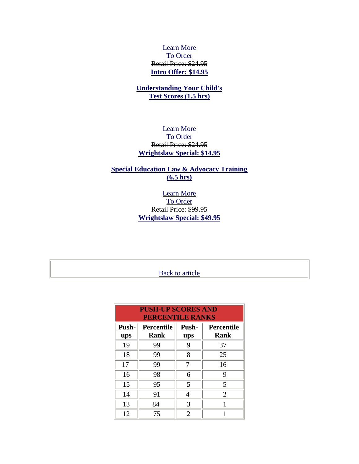## [Learn More](http://www.wrightslaw.com/webex/iep.law.index.htm) [To Order](http://www.wrightslaw.com/store/) Retail Price: \$24.95 **[Intro Offer: \\$14.95](http://www.wrightslaw.com/store/)**

# **[Understanding Your Child's](http://www.wrightslaw.com/webex/test.scores.index.htm)  [Test Scores \(1.5 hrs\)](http://www.wrightslaw.com/webex/test.scores.index.htm)**

## [Learn More](http://www.wrightslaw.com/webex/test.scores.index.htm) [To Order](http://www.wrightslaw.com/store/) Retail Price: \$24.95 **[Wrightslaw Special: \\$14.95](http://www.wrightslaw.com/store/)**

# **[Special Education Law & Advocacy Training](http://www.wrightslaw.com/webex/law.adv.index.htm) [\(6.5 hrs\)](http://www.wrightslaw.com/webex/law.adv.index.htm)**

# [Learn More](http://www.wrightslaw.com/webex/law.adv.index.htm) [To Order](http://www.wrightslaw.com/store/) Retail Price: \$99.95 **[Wrightslaw Special: \\$49.95](http://www.wrightslaw.com/store/)**

# **[Back to article](http://www.wrightslaw.com/#back1#back1)**

| <b>PUSH-UP SCORES AND</b><br><b>PERCENTILE RANKS</b> |                                  |              |                                  |  |  |  |  |  |
|------------------------------------------------------|----------------------------------|--------------|----------------------------------|--|--|--|--|--|
| Push-<br>ups                                         | <b>Percentile</b><br><b>Rank</b> | Push-<br>ups | <b>Percentile</b><br><b>Rank</b> |  |  |  |  |  |
| 19                                                   | 99                               | 9            | 37                               |  |  |  |  |  |
| 18                                                   | 99                               | 8            | 25                               |  |  |  |  |  |
| 17                                                   | 99                               | 7            | 16                               |  |  |  |  |  |
| 16                                                   | 98<br>6                          |              | 9                                |  |  |  |  |  |
| 15                                                   | 95                               | 5            | 5                                |  |  |  |  |  |
| 14                                                   | 91                               |              | $\overline{2}$                   |  |  |  |  |  |
| 13                                                   | 84                               | 3            |                                  |  |  |  |  |  |
| 12                                                   | 75                               | 2            |                                  |  |  |  |  |  |